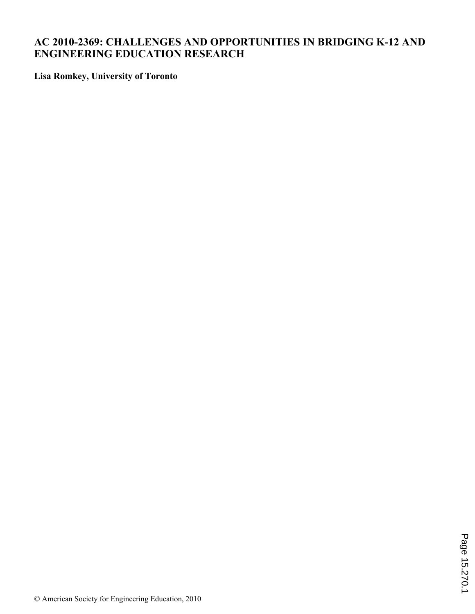# **AC 2010-2369: CHALLENGES AND OPPORTUNITIES IN BRIDGING K-12 AND ENGINEERING EDUCATION RESEARCH**

**Lisa Romkey, University of Toronto**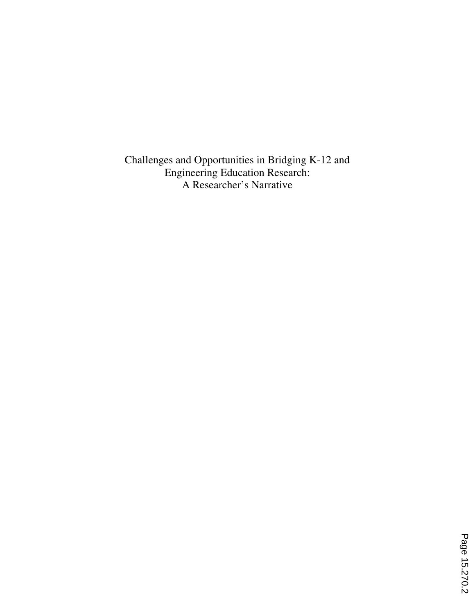Challenges and Opportunities in Bridging K-12 and Engineering Education Research: A Researcher's Narrative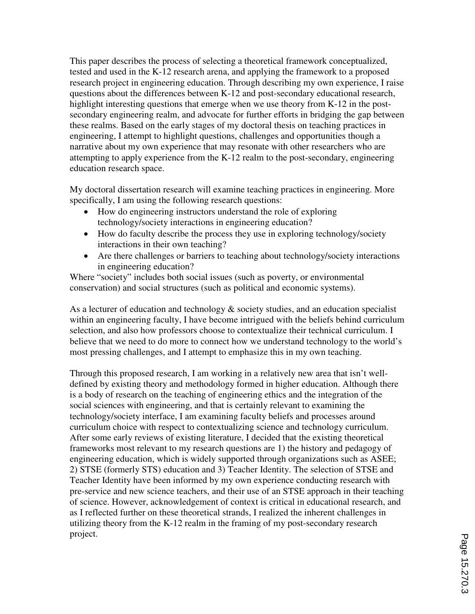This paper describes the process of selecting a theoretical framework conceptualized, tested and used in the K-12 research arena, and applying the framework to a proposed research project in engineering education. Through describing my own experience, I raise questions about the differences between K-12 and post-secondary educational research, highlight interesting questions that emerge when we use theory from K-12 in the postsecondary engineering realm, and advocate for further efforts in bridging the gap between these realms. Based on the early stages of my doctoral thesis on teaching practices in engineering, I attempt to highlight questions, challenges and opportunities though a narrative about my own experience that may resonate with other researchers who are attempting to apply experience from the K-12 realm to the post-secondary, engineering education research space.

My doctoral dissertation research will examine teaching practices in engineering. More specifically, I am using the following research questions:

- ≠ How do engineering instructors understand the role of exploring technology/society interactions in engineering education?
- How do faculty describe the process they use in exploring technology/society interactions in their own teaching?
- Are there challenges or barriers to teaching about technology/society interactions in engineering education?

Where "society" includes both social issues (such as poverty, or environmental conservation) and social structures (such as political and economic systems).

As a lecturer of education and technology & society studies, and an education specialist within an engineering faculty, I have become intrigued with the beliefs behind curriculum selection, and also how professors choose to contextualize their technical curriculum. I believe that we need to do more to connect how we understand technology to the world's most pressing challenges, and I attempt to emphasize this in my own teaching.

Through this proposed research, I am working in a relatively new area that isn't welldefined by existing theory and methodology formed in higher education. Although there is a body of research on the teaching of engineering ethics and the integration of the social sciences with engineering, and that is certainly relevant to examining the technology/society interface, I am examining faculty beliefs and processes around curriculum choice with respect to contextualizing science and technology curriculum. After some early reviews of existing literature, I decided that the existing theoretical frameworks most relevant to my research questions are 1) the history and pedagogy of engineering education, which is widely supported through organizations such as ASEE; 2) STSE (formerly STS) education and 3) Teacher Identity. The selection of STSE and Teacher Identity have been informed by my own experience conducting research with pre-service and new science teachers, and their use of an STSE approach in their teaching of science. However, acknowledgement of context is critical in educational research, and as I reflected further on these theoretical strands, I realized the inherent challenges in utilizing theory from the K-12 realm in the framing of my post-secondary research project.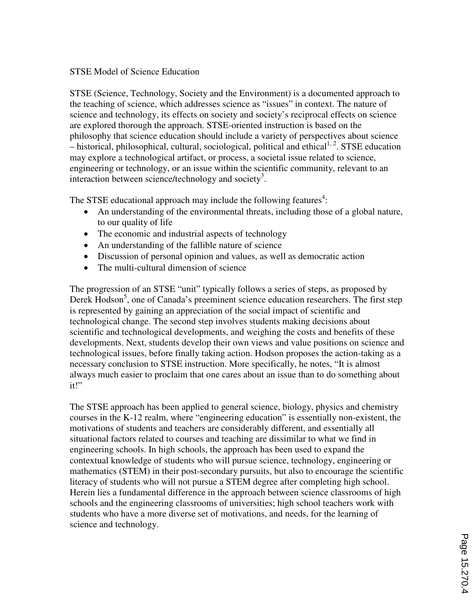## STSE Model of Science Education

STSE (Science, Technology, Society and the Environment) is a documented approach to the teaching of science, which addresses science as "issues" in context. The nature of science and technology, its effects on society and society's reciprocal effects on science are explored thorough the approach. STSE-oriented instruction is based on the philosophy that science education should include a variety of perspectives about science  $-$  historical, philosophical, cultural, sociological, political and ethical<sup>1, 2</sup>. STSE education may explore a technological artifact, or process, a societal issue related to science, engineering or technology, or an issue within the scientific community, relevant to an interaction between science/technology and society<sup>3</sup>.

The STSE educational approach may include the following features<sup>4</sup>:

- An understanding of the environmental threats, including those of a global nature, to our quality of life
- The economic and industrial aspects of technology
- An understanding of the fallible nature of science
- Discussion of personal opinion and values, as well as democratic action
- The multi-cultural dimension of science

The progression of an STSE "unit" typically follows a series of steps, as proposed by Derek Hodson<sup>5</sup>, one of Canada's preeminent science education researchers. The first step is represented by gaining an appreciation of the social impact of scientific and technological change. The second step involves students making decisions about scientific and technological developments, and weighing the costs and benefits of these developments. Next, students develop their own views and value positions on science and technological issues, before finally taking action. Hodson proposes the action-taking as a necessary conclusion to STSE instruction. More specifically, he notes, "It is almost always much easier to proclaim that one cares about an issue than to do something about it!"

The STSE approach has been applied to general science, biology, physics and chemistry courses in the K-12 realm, where "engineering education" is essentially non-existent, the motivations of students and teachers are considerably different, and essentially all situational factors related to courses and teaching are dissimilar to what we find in engineering schools. In high schools, the approach has been used to expand the contextual knowledge of students who will pursue science, technology, engineering or mathematics (STEM) in their post-secondary pursuits, but also to encourage the scientific literacy of students who will not pursue a STEM degree after completing high school. Herein lies a fundamental difference in the approach between science classrooms of high schools and the engineering classrooms of universities; high school teachers work with students who have a more diverse set of motivations, and needs, for the learning of science and technology.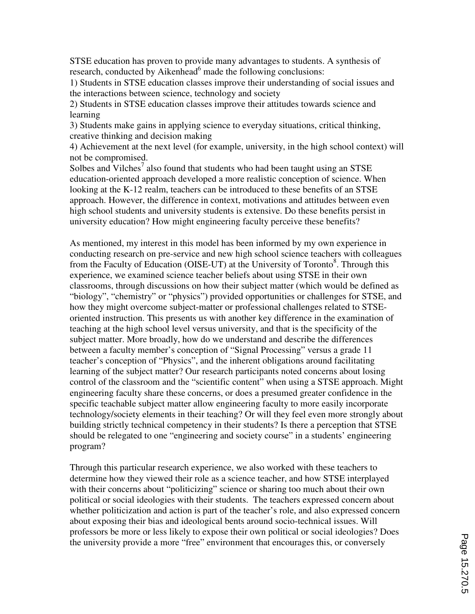STSE education has proven to provide many advantages to students. A synthesis of research, conducted by Aikenhead<sup>6</sup> made the following conclusions:

1) Students in STSE education classes improve their understanding of social issues and the interactions between science, technology and society

2) Students in STSE education classes improve their attitudes towards science and learning

3) Students make gains in applying science to everyday situations, critical thinking, creative thinking and decision making

4) Achievement at the next level (for example, university, in the high school context) will not be compromised.

Solbes and Vilches<sup>7</sup> also found that students who had been taught using an STSE education-oriented approach developed a more realistic conception of science. When looking at the K-12 realm, teachers can be introduced to these benefits of an STSE approach. However, the difference in context, motivations and attitudes between even high school students and university students is extensive. Do these benefits persist in university education? How might engineering faculty perceive these benefits?

As mentioned, my interest in this model has been informed by my own experience in conducting research on pre-service and new high school science teachers with colleagues from the Faculty of Education (OISE-UT) at the University of Toronto<sup>8</sup>. Through this experience, we examined science teacher beliefs about using STSE in their own classrooms, through discussions on how their subject matter (which would be defined as "biology", "chemistry" or "physics") provided opportunities or challenges for STSE, and how they might overcome subject-matter or professional challenges related to STSEoriented instruction. This presents us with another key difference in the examination of teaching at the high school level versus university, and that is the specificity of the subject matter. More broadly, how do we understand and describe the differences between a faculty member's conception of "Signal Processing" versus a grade 11 teacher's conception of "Physics", and the inherent obligations around facilitating learning of the subject matter? Our research participants noted concerns about losing control of the classroom and the "scientific content" when using a STSE approach. Might engineering faculty share these concerns, or does a presumed greater confidence in the specific teachable subject matter allow engineering faculty to more easily incorporate technology/society elements in their teaching? Or will they feel even more strongly about building strictly technical competency in their students? Is there a perception that STSE should be relegated to one "engineering and society course" in a students' engineering program?

Through this particular research experience, we also worked with these teachers to determine how they viewed their role as a science teacher, and how STSE interplayed with their concerns about "politicizing" science or sharing too much about their own political or social ideologies with their students. The teachers expressed concern about whether politicization and action is part of the teacher's role, and also expressed concern about exposing their bias and ideological bents around socio-technical issues. Will professors be more or less likely to expose their own political or social ideologies? Does the university provide a more "free" environment that encourages this, or conversely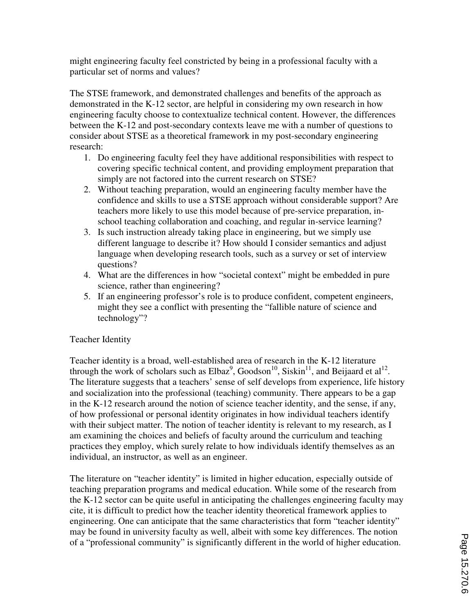might engineering faculty feel constricted by being in a professional faculty with a particular set of norms and values?

The STSE framework, and demonstrated challenges and benefits of the approach as demonstrated in the K-12 sector, are helpful in considering my own research in how engineering faculty choose to contextualize technical content. However, the differences between the K-12 and post-secondary contexts leave me with a number of questions to consider about STSE as a theoretical framework in my post-secondary engineering research:

- 1. Do engineering faculty feel they have additional responsibilities with respect to covering specific technical content, and providing employment preparation that simply are not factored into the current research on STSE?
- 2. Without teaching preparation, would an engineering faculty member have the confidence and skills to use a STSE approach without considerable support? Are teachers more likely to use this model because of pre-service preparation, inschool teaching collaboration and coaching, and regular in-service learning?
- 3. Is such instruction already taking place in engineering, but we simply use different language to describe it? How should I consider semantics and adjust language when developing research tools, such as a survey or set of interview questions?
- 4. What are the differences in how "societal context" might be embedded in pure science, rather than engineering?
- 5. If an engineering professor's role is to produce confident, competent engineers, might they see a conflict with presenting the "fallible nature of science and technology"?

# Teacher Identity

Teacher identity is a broad, well-established area of research in the K-12 literature through the work of scholars such as  $Elbaz<sup>9</sup>$ , Goodson<sup>10</sup>, Siskin<sup>11</sup>, and Beijaard et al<sup>12</sup>. The literature suggests that a teachers' sense of self develops from experience, life history and socialization into the professional (teaching) community. There appears to be a gap in the K-12 research around the notion of science teacher identity, and the sense, if any, of how professional or personal identity originates in how individual teachers identify with their subject matter. The notion of teacher identity is relevant to my research, as I am examining the choices and beliefs of faculty around the curriculum and teaching practices they employ, which surely relate to how individuals identify themselves as an individual, an instructor, as well as an engineer.

The literature on "teacher identity" is limited in higher education, especially outside of teaching preparation programs and medical education. While some of the research from the K-12 sector can be quite useful in anticipating the challenges engineering faculty may cite, it is difficult to predict how the teacher identity theoretical framework applies to engineering. One can anticipate that the same characteristics that form "teacher identity" may be found in university faculty as well, albeit with some key differences. The notion of a "professional community" is significantly different in the world of higher education.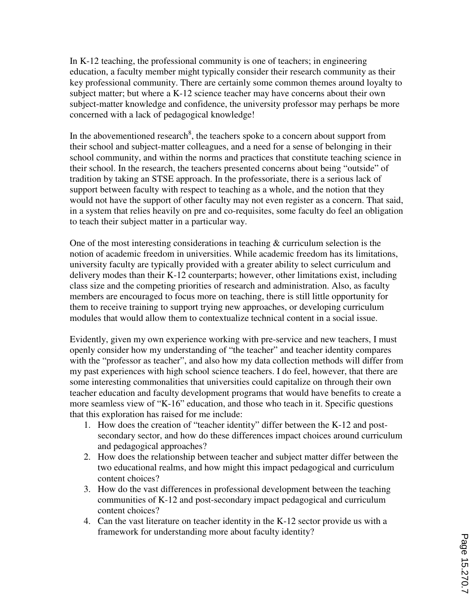In K-12 teaching, the professional community is one of teachers; in engineering education, a faculty member might typically consider their research community as their key professional community. There are certainly some common themes around loyalty to subject matter; but where a K-12 science teacher may have concerns about their own subject-matter knowledge and confidence, the university professor may perhaps be more concerned with a lack of pedagogical knowledge!

In the abovementioned research<sup>8</sup>, the teachers spoke to a concern about support from their school and subject-matter colleagues, and a need for a sense of belonging in their school community, and within the norms and practices that constitute teaching science in their school. In the research, the teachers presented concerns about being "outside" of tradition by taking an STSE approach. In the professoriate, there is a serious lack of support between faculty with respect to teaching as a whole, and the notion that they would not have the support of other faculty may not even register as a concern. That said, in a system that relies heavily on pre and co-requisites, some faculty do feel an obligation to teach their subject matter in a particular way.

One of the most interesting considerations in teaching & curriculum selection is the notion of academic freedom in universities. While academic freedom has its limitations, university faculty are typically provided with a greater ability to select curriculum and delivery modes than their K-12 counterparts; however, other limitations exist, including class size and the competing priorities of research and administration. Also, as faculty members are encouraged to focus more on teaching, there is still little opportunity for them to receive training to support trying new approaches, or developing curriculum modules that would allow them to contextualize technical content in a social issue.

Evidently, given my own experience working with pre-service and new teachers, I must openly consider how my understanding of "the teacher" and teacher identity compares with the "professor as teacher", and also how my data collection methods will differ from my past experiences with high school science teachers. I do feel, however, that there are some interesting commonalities that universities could capitalize on through their own teacher education and faculty development programs that would have benefits to create a more seamless view of "K-16" education, and those who teach in it. Specific questions that this exploration has raised for me include:

- 1. How does the creation of "teacher identity" differ between the K-12 and postsecondary sector, and how do these differences impact choices around curriculum and pedagogical approaches?
- 2. How does the relationship between teacher and subject matter differ between the two educational realms, and how might this impact pedagogical and curriculum content choices?
- 3. How do the vast differences in professional development between the teaching communities of K-12 and post-secondary impact pedagogical and curriculum content choices?
- 4. Can the vast literature on teacher identity in the K-12 sector provide us with a framework for understanding more about faculty identity?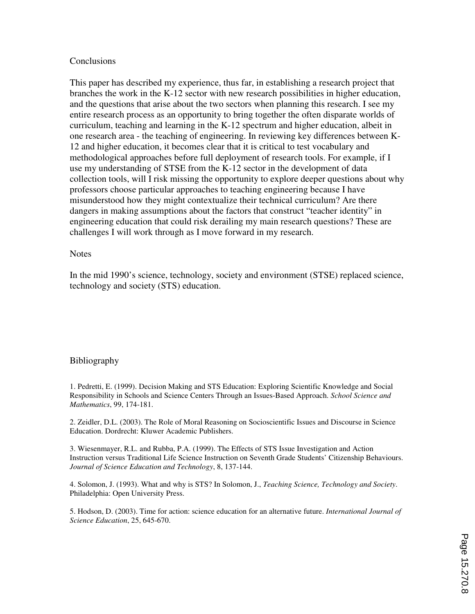#### Conclusions

This paper has described my experience, thus far, in establishing a research project that branches the work in the K-12 sector with new research possibilities in higher education, and the questions that arise about the two sectors when planning this research. I see my entire research process as an opportunity to bring together the often disparate worlds of curriculum, teaching and learning in the K-12 spectrum and higher education, albeit in one research area - the teaching of engineering. In reviewing key differences between K-12 and higher education, it becomes clear that it is critical to test vocabulary and methodological approaches before full deployment of research tools. For example, if I use my understanding of STSE from the K-12 sector in the development of data collection tools, will I risk missing the opportunity to explore deeper questions about why professors choose particular approaches to teaching engineering because I have misunderstood how they might contextualize their technical curriculum? Are there dangers in making assumptions about the factors that construct "teacher identity" in engineering education that could risk derailing my main research questions? These are challenges I will work through as I move forward in my research.

#### **Notes**

In the mid 1990's science, technology, society and environment (STSE) replaced science, technology and society (STS) education.

## Bibliography

1. Pedretti, E. (1999). Decision Making and STS Education: Exploring Scientific Knowledge and Social Responsibility in Schools and Science Centers Through an Issues-Based Approach. *School Science and Mathematics*, 99, 174-181.

2. Zeidler, D.L. (2003). The Role of Moral Reasoning on Socioscientific Issues and Discourse in Science Education. Dordrecht: Kluwer Academic Publishers.

3. Wiesenmayer, R.L. and Rubba, P.A. (1999). The Effects of STS Issue Investigation and Action Instruction versus Traditional Life Science Instruction on Seventh Grade Students' Citizenship Behaviours. *Journal of Science Education and Technology*, 8, 137-144.

4. Solomon, J. (1993). What and why is STS? In Solomon, J., *Teaching Science, Technology and Society*. Philadelphia: Open University Press.

5. Hodson, D. (2003). Time for action: science education for an alternative future. *International Journal of Science Education*, 25, 645-670.